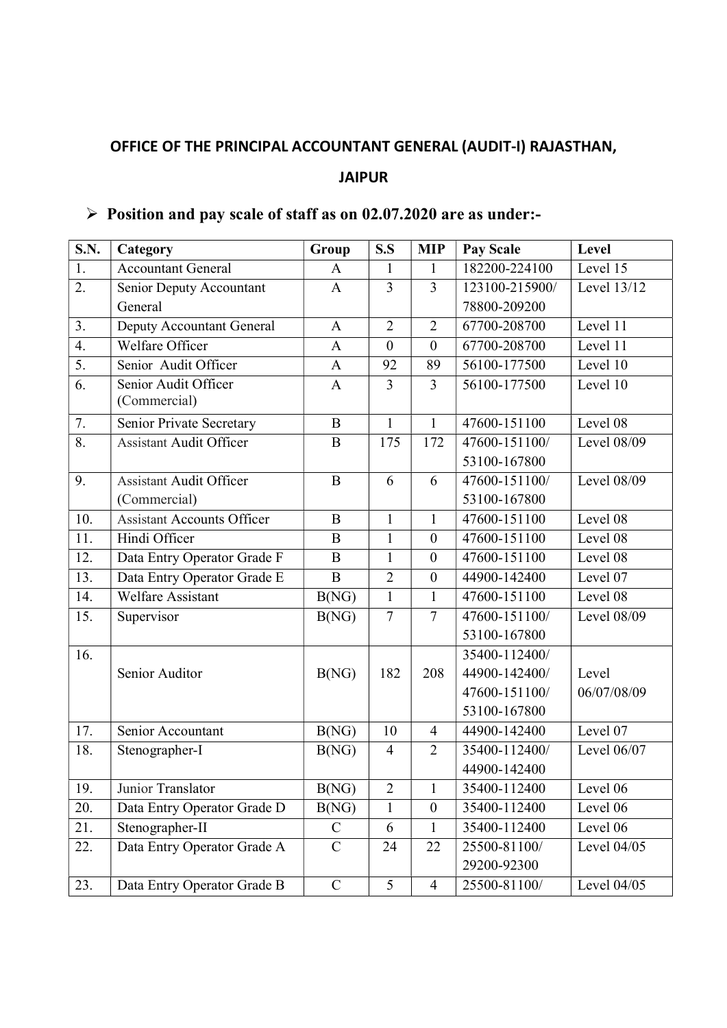## OFFICE OF THE PRINCIPAL ACCOUNTANT GENERAL (AUDIT-I) RAJASTHAN, JAIPUR

## $\triangleright$  Position and pay scale of staff as on 02.07.2020 are as under:-

| <b>S.N.</b>      | Category                          | Group              | S.S            | <b>MIP</b>       | <b>Pay Scale</b>            | Level         |
|------------------|-----------------------------------|--------------------|----------------|------------------|-----------------------------|---------------|
| 1.               | <b>Accountant General</b>         | $\mathbf{A}$       | 1              | $\mathbf{1}$     | 182200-224100               | Level 15      |
| 2.               | Senior Deputy Accountant          | $\mathbf{A}$       | 3              | $\overline{3}$   | 123100-215900/              | Level 13/12   |
|                  | General                           |                    |                |                  | 78800-209200                |               |
| 3.               | Deputy Accountant General         | $\mathbf{A}$       | $\overline{2}$ | $\overline{2}$   | 67700-208700                | Level 11      |
| $\overline{4}$ . | Welfare Officer                   | $\overline{A}$     | $\theta$       | $\overline{0}$   | 67700-208700                | Level 11      |
| 5.               | Senior Audit Officer              | $\mathbf{A}$       | 92             | 89               | 56100-177500                | Level 10      |
| 6.               | Senior Audit Officer              | $\mathbf{A}$       | $\overline{3}$ | $\overline{3}$   | 56100-177500                | Level 10      |
|                  | (Commercial)                      |                    |                |                  |                             |               |
| 7.               | Senior Private Secretary          | $\bf{B}$           | $\mathbf{1}$   | $\mathbf{1}$     | 47600-151100                | Level 08      |
| 8.               | <b>Assistant Audit Officer</b>    | $\bf{B}$           | 175            | 172              | $\overline{47600}$ -151100/ | Level 08/09   |
|                  |                                   |                    |                |                  | 53100-167800                |               |
| 9.               | <b>Assistant Audit Officer</b>    | $\bf{B}$           | 6              | 6                | 47600-151100/               | Level 08/09   |
|                  | (Commercial)                      |                    |                |                  | 53100-167800                |               |
| 10.              | <b>Assistant Accounts Officer</b> | B                  | $\mathbf{1}$   | 1                | 47600-151100                | Level 08      |
| 11.              | Hindi Officer                     | B                  | $\mathbf{1}$   | $\boldsymbol{0}$ | 47600-151100                | Level 08      |
| 12.              | Data Entry Operator Grade F       | B                  | $\mathbf{1}$   | $\overline{0}$   | 47600-151100                | Level 08      |
| 13.              | Data Entry Operator Grade E       | B                  | $\overline{2}$ | $\mathbf{0}$     | 44900-142400                | Level 07      |
| 14.              | <b>Welfare Assistant</b>          | B(NG)              | $\mathbf{1}$   | $\mathbf{1}$     | 47600-151100                | Level 08      |
| 15.              | Supervisor                        | B(NG)              | $\overline{7}$ | $\overline{7}$   | 47600-151100/               | Level 08/09   |
|                  |                                   |                    |                |                  | 53100-167800                |               |
| 16.              |                                   |                    |                |                  | 35400-112400/               |               |
|                  | Senior Auditor                    | B(NG)              | 182            | 208              | 44900-142400/               | Level         |
|                  |                                   |                    |                |                  | 47600-151100/               | 06/07/08/09   |
|                  |                                   |                    |                |                  | 53100-167800                |               |
| 17.              | Senior Accountant                 | B(NG)              | 10             | $\overline{4}$   | 44900-142400                | Level 07      |
| 18.              | Stenographer-I                    | B(NG)              | $\overline{4}$ | $\overline{2}$   | 35400-112400/               | Level 06/07   |
|                  |                                   |                    |                |                  | 44900-142400                |               |
| 19.              | Junior Translator                 | $\overline{B(NG)}$ | 2              | $\mathbf{1}$     | 35400-112400                | Level 06      |
| 20.              | Data Entry Operator Grade D       | B(NG)              |                | $\boldsymbol{0}$ | 35400-112400                | Level 06      |
| 21.              | Stenographer-II                   | $\mathcal{C}$      | 6              | $\mathbf{1}$     | 35400-112400                | Level 06      |
| 22.              | Data Entry Operator Grade A       | $\mathcal{C}$      | 24             | 22               | 25500-81100/                | Level 04/05   |
|                  |                                   |                    |                |                  | 29200-92300                 |               |
| 23.              | Data Entry Operator Grade B       | $\mathcal{C}$      | 5              | $\overline{4}$   | 25500-81100/                | Level $04/05$ |